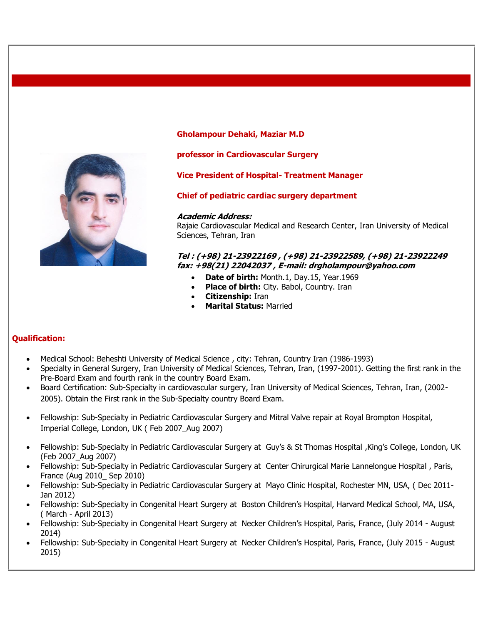

## **Gholampour Dehaki, Maziar M.D**

#### **professor in Cardiovascular Surgery**

#### **Vice President of Hospital- Treatment Manager**

#### **Chief of pediatric cardiac surgery department**

#### **Academic Address:**  Rajaie Cardiovascular Medical and Research Center, Iran University of Medical Sciences, Tehran, Iran

### **Tel : (+98) 21-23922169 , (+98) 21-23922589, (+98) 21-23922249 fax: +98(21) 22042037 , E-mail: drgholampour@yahoo.com**

- **Date of birth:** Month.1, Day.15, Year.1969
- **Place of birth:** City. Babol, Country. Iran
- **Citizenship:** Iran
- **Marital Status:** Married

#### **Qualification:**

- Medical School: Beheshti University of Medical Science , city: Tehran, Country Iran (1986-1993)
- Specialty in General Surgery, Iran University of Medical Sciences, Tehran, Iran, (1997-2001). Getting the first rank in the Pre-Board Exam and fourth rank in the country Board Exam.
- Board Certification: Sub-Specialty in cardiovascular surgery, Iran University of Medical Sciences, Tehran, Iran, (2002- 2005). Obtain the First rank in the Sub-Specialty country Board Exam.
- Fellowship: Sub-Specialty in Pediatric Cardiovascular Surgery and Mitral Valve repair at Royal Brompton Hospital, Imperial College, London, UK ( Feb 2007\_Aug 2007)
- Fellowship: Sub-Specialty in Pediatric Cardiovascular Surgery at Guy's & St Thomas Hospital ,King's College, London, UK (Feb 2007\_Aug 2007)
- Fellowship: Sub-Specialty in Pediatric Cardiovascular Surgery at Center Chirurgical Marie Lannelongue Hospital , Paris, France (Aug 2010\_ Sep 2010)
- Fellowship: Sub-Specialty in Pediatric Cardiovascular Surgery at Mayo Clinic Hospital, Rochester MN, USA, ( Dec 2011- Jan 2012)
- Fellowship: Sub-Specialty in Congenital Heart Surgery at Boston Children's Hospital, Harvard Medical School, MA, USA, ( March - April 2013)
- Fellowship: Sub-Specialty in Congenital Heart Surgery at Necker Children's Hospital, Paris, France, (July 2014 August 2014)
- Fellowship: Sub-Specialty in Congenital Heart Surgery at Necker Children's Hospital, Paris, France, (July 2015 August 2015)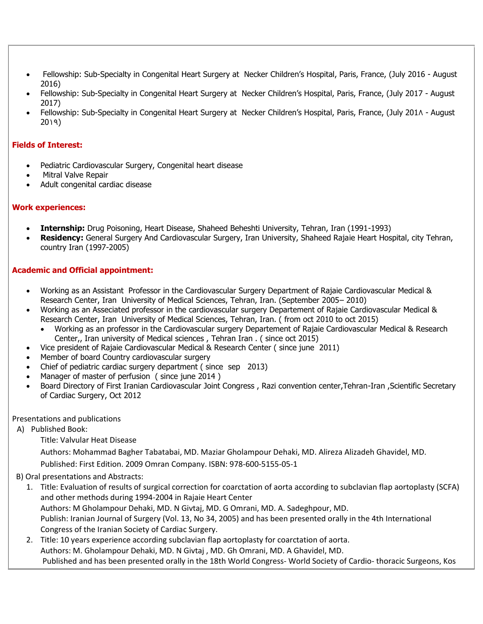- Fellowship: Sub-Specialty in Congenital Heart Surgery at Necker Children's Hospital, Paris, France, (July 2016 August 2016)
- Fellowship: Sub-Specialty in Congenital Heart Surgery at Necker Children's Hospital, Paris, France, (July 2017 August 2017)
- Fellowship: Sub-Specialty in Congenital Heart Surgery at Necker Children's Hospital, Paris, France, (July 2018 August  $2019$

### **Fields of Interest:**

- Pediatric Cardiovascular Surgery, Congenital heart disease
- Mitral Valve Repair
- Adult congenital cardiac disease

### **Work experiences:**

- **Internship:** Drug Poisoning, Heart Disease, Shaheed Beheshti University, Tehran, Iran (1991-1993)
- **Residency:** General Surgery And Cardiovascular Surgery, Iran University, Shaheed Rajaie Heart Hospital, city Tehran, country Iran (1997-2005)

## **Academic and Official appointment:**

- Working as an Assistant Professor in the Cardiovascular Surgery Department of Rajaie Cardiovascular Medical & Research Center, Iran University of Medical Sciences, Tehran, Iran. (September 2005– 2010)
- Working as an Asseciated professor in the cardiovascular surgery Departement of Rajaie Cardiovascular Medical & Research Center, Iran University of Medical Sciences, Tehran, Iran. ( from oct 2010 to oct 2015)
	- Working as an professor in the Cardiovascular surgery Departement of Rajaie Cardiovascular Medical & Research Center,, Iran university of Medical sciences , Tehran Iran . ( since oct 2015)
	- Vice president of Rajaie Cardiovascular Medical & Research Center ( since june 2011)
- Member of board Country cardiovascular surgery
- Chief of pediatric cardiac surgery department ( since sep 2013)
- Manager of master of perfusion ( since june 2014 )
- Board Directory of First Iranian Cardiovascular Joint Congress , Razi convention center,Tehran-Iran ,Scientific Secretary of Cardiac Surgery, Oct 2012

Presentations and publications

A) Published Book:

Title: Valvular Heat Disease

Authors: Mohammad Bagher Tabatabai, MD. Maziar Gholampour Dehaki, MD. Alireza Alizadeh Ghavidel, MD. Published: First Edition. 2009 Omran Company. ISBN: 978-600-5155-05-1

#### B) Oral presentations and Abstracts:

1. Title: Evaluation of results of surgical correction for coarctation of aorta according to subclavian flap aortoplasty (SCFA) and other methods during 1994-2004 in Rajaie Heart Center Authors: M Gholampour Dehaki, MD. N Givtaj, MD. G Omrani, MD. A. Sadeghpour, MD.

Publish: Iranian Journal of Surgery (Vol. 13, No 34, 2005) and has been presented orally in the 4th International Congress of the Iranian Society of Cardiac Surgery.

2. Title: 10 years experience according subclavian flap aortoplasty for coarctation of aorta. Authors: M. Gholampour Dehaki, MD. N Givtaj , MD. Gh Omrani, MD. A Ghavidel, MD. Published and has been presented orally in the 18th World Congress- World Society of Cardio- thoracic Surgeons, Kos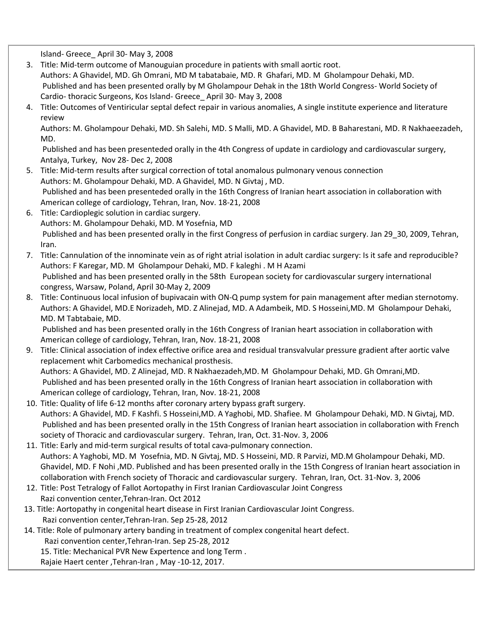Island- Greece\_ April 30- May 3, 2008

- 3. Title: Mid-term outcome of Manouguian procedure in patients with small aortic root. Authors: A Ghavidel, MD. Gh Omrani, MD M tabatabaie, MD. R Ghafari, MD. M Gholampour Dehaki, MD. Published and has been presented orally by M Gholampour Dehak in the 18th World Congress- World Society of Cardio- thoracic Surgeons, Kos Island- Greece\_ April 30- May 3, 2008
- 4. Title: Outcomes of Ventiricular septal defect repair in various anomalies, A single institute experience and literature review

Authors: M. Gholampour Dehaki, MD. Sh Salehi, MD. S Malli, MD. A Ghavidel, MD. B Baharestani, MD. R Nakhaeezadeh, MD.

Published and has been presenteded orally in the 4th Congress of update in cardiology and cardiovascular surgery, Antalya, Turkey, Nov 28- Dec 2, 2008

- 5. Title: Mid-term results after surgical correction of total anomalous pulmonary venous connection Authors: M. Gholampour Dehaki, MD. A Ghavidel, MD. N Givtaj , MD. Published and has been presenteded orally in the 16th Congress of Iranian heart association in collaboration with American college of cardiology, Tehran, Iran, Nov. 18-21, 2008
- 6. Title: Cardioplegic solution in cardiac surgery. Authors: M. Gholampour Dehaki, MD. M Yosefnia, MD Published and has been presented orally in the first Congress of perfusion in cardiac surgery. Jan 29\_30, 2009, Tehran, Iran.
- 7. Title: Cannulation of the innominate vein as of right atrial isolation in adult cardiac surgery: Is it safe and reproducible? Authors: F Karegar, MD. M Gholampour Dehaki, MD. F kaleghi . M H Azami Published and has been presented orally in the 58th European society for cardiovascular surgery international congress, Warsaw, Poland, April 30-May 2, 2009
- 8. Title: Continuous local infusion of bupivacain with ON-Q pump system for pain management after median sternotomy. Authors: A Ghavidel, MD.E Norizadeh, MD. Z Alinejad, MD. A Adambeik, MD. S Hosseini,MD. M Gholampour Dehaki, MD. M Tabtabaie, MD.

Published and has been presented orally in the 16th Congress of Iranian heart association in collaboration with American college of cardiology, Tehran, Iran, Nov. 18-21, 2008

- 9. Title: Clinical association of index effective orifice area and residual transvalvular pressure gradient after aortic valve replacement whit Carbomedics mechanical prosthesis. Authors: A Ghavidel, MD. Z Alinejad, MD. R Nakhaezadeh,MD. M Gholampour Dehaki, MD. Gh Omrani,MD. Published and has been presented orally in the 16th Congress of Iranian heart association in collaboration with American college of cardiology, Tehran, Iran, Nov. 18-21, 2008
- 10. Title: Quality of life 6-12 months after coronary artery bypass graft surgery. Authors: A Ghavidel, MD. F Kashfi. S Hosseini,MD. A Yaghobi, MD. Shafiee. M Gholampour Dehaki, MD. N Givtaj, MD. Published and has been presented orally in the 15th Congress of Iranian heart association in collaboration with French society of Thoracic and cardiovascular surgery. Tehran, Iran, Oct. 31-Nov. 3, 2006
- 11. Title: Early and mid-term surgical results of total cava-pulmonary connection. Authors: A Yaghobi, MD. M Yosefnia, MD. N Givtaj, MD. S Hosseini, MD. R Parvizi, MD.M Gholampour Dehaki, MD. Ghavidel, MD. F Nohi ,MD. Published and has been presented orally in the 15th Congress of Iranian heart association in collaboration with French society of Thoracic and cardiovascular surgery. Tehran, Iran, Oct. 31-Nov. 3, 2006
- 12. Title: Post Tetralogy of Fallot Aortopathy in First Iranian Cardiovascular Joint Congress Razi convention center,Tehran-Iran. Oct 2012
- 13. Title: Aortopathy in congenital heart disease in First Iranian Cardiovascular Joint Congress. Razi convention center,Tehran-Iran. Sep 25-28, 2012
- 14. Title: Role of pulmonary artery banding in treatment of complex congenital heart defect.

Razi convention center,Tehran-Iran. Sep 25-28, 2012

15. Title: Mechanical PVR New Expertence and long Term .

Rajaie Haert center ,Tehran-Iran , May -10-12, 2017.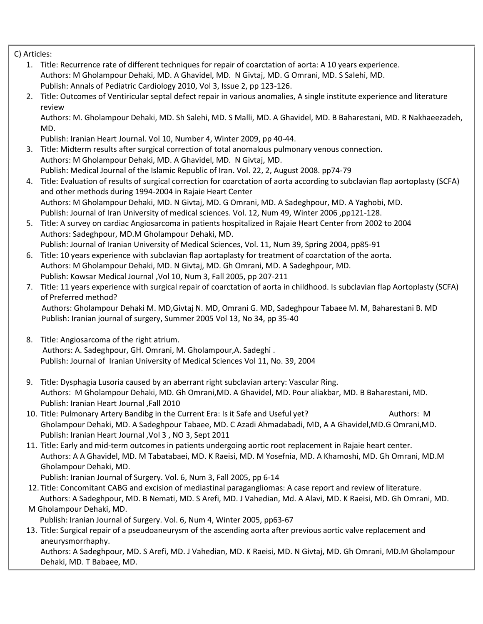## C) Articles:

- 1. Title: Recurrence rate of different techniques for repair of coarctation of aorta: A 10 years experience. Authors: M Gholampour Dehaki, MD. A Ghavidel, MD. N Givtaj, MD. G Omrani, MD. S Salehi, MD. Publish: Annals of Pediatric Cardiology 2010, Vol 3, Issue 2, pp 123-126.
- 2. Title: Outcomes of Ventiricular septal defect repair in various anomalies, A single institute experience and literature review

Authors: M. Gholampour Dehaki, MD. Sh Salehi, MD. S Malli, MD. A Ghavidel, MD. B Baharestani, MD. R Nakhaeezadeh, MD.

Publish: Iranian Heart Journal. Vol 10, Number 4, Winter 2009, pp 40-44.

- 3. Title: Midterm results after surgical correction of total anomalous pulmonary venous connection. Authors: M Gholampour Dehaki, MD. A Ghavidel, MD. N Givtaj, MD. Publish: Medical Journal of the Islamic Republic of Iran. Vol. 22, 2, August 2008. pp74-79
- 4. Title: Evaluation of results of surgical correction for coarctation of aorta according to subclavian flap aortoplasty (SCFA) and other methods during 1994-2004 in Rajaie Heart Center Authors: M Gholampour Dehaki, MD. N Givtaj, MD. G Omrani, MD. A Sadeghpour, MD. A Yaghobi, MD. Publish: Journal of Iran University of medical sciences. Vol. 12, Num 49, Winter 2006 ,pp121-128.
- 5. Title: A survey on cardiac Angiosarcoma in patients hospitalized in Rajaie Heart Center from 2002 to 2004 Authors: Sadeghpour, MD.M Gholampour Dehaki, MD. Publish: Journal of Iranian University of Medical Sciences, Vol. 11, Num 39, Spring 2004, pp85-91
- 6. Title: 10 years experience with subclavian flap aortaplasty for treatment of coarctation of the aorta. Authors: M Gholampour Dehaki, MD. N Givtaj, MD. Gh Omrani, MD. A Sadeghpour, MD. Publish: Kowsar Medical Journal ,Vol 10, Num 3, Fall 2005, pp 207-211
- 7. Title: 11 years experience with surgical repair of coarctation of aorta in childhood. Is subclavian flap Aortoplasty (SCFA) of Preferred method? Authors: Gholampour Dehaki M. MD,Givtaj N. MD, Omrani G. MD, Sadeghpour Tabaee M. M, Baharestani B. MD
	- Publish: Iranian journal of surgery, Summer 2005 Vol 13, No 34, pp 35-40
- 8. Title: Angiosarcoma of the right atrium. Authors: A. Sadeghpour, GH. Omrani, M. Gholampour,A. Sadeghi . Publish: Journal of Iranian University of Medical Sciences Vol 11, No. 39, 2004
- 9. Title: Dysphagia Lusoria caused by an aberrant right subclavian artery: Vascular Ring. Authors: M Gholampour Dehaki, MD. Gh Omrani,MD. A Ghavidel, MD. Pour aliakbar, MD. B Baharestani, MD. Publish: Iranian Heart Journal ,Fall 2010
- 10. Title: Pulmonary Artery Bandibg in the Current Era: Is it Safe and Useful yet? Authors: M Gholampour Dehaki, MD. A Sadeghpour Tabaee, MD. C Azadi Ahmadabadi, MD, A A Ghavidel,MD.G Omrani,MD. Publish: Iranian Heart Journal ,Vol 3 , NO 3, Sept 2011
- 11. Title: Early and mid-term outcomes in patients undergoing aortic root replacement in Rajaie heart center. Authors: A A Ghavidel, MD. M Tabatabaei, MD. K Raeisi, MD. M Yosefnia, MD. A Khamoshi, MD. Gh Omrani, MD.M Gholampour Dehaki, MD.

Publish: Iranian Journal of Surgery. Vol. 6, Num 3, Fall 2005, pp 6-14

12. Title: Concomitant CABG and excision of mediastinal paragangliomas: A case report and review of literature. Authors: A Sadeghpour, MD. B Nemati, MD. S Arefi, MD. J Vahedian, Md. A Alavi, MD. K Raeisi, MD. Gh Omrani, MD. M Gholampour Dehaki, MD.

Publish: Iranian Journal of Surgery. Vol. 6, Num 4, Winter 2005, pp63-67

13. Title: Surgical repair of a pseudoaneurysm of the ascending aorta after previous aortic valve replacement and aneurysmorrhaphy.

Authors: A Sadeghpour, MD. S Arefi, MD. J Vahedian, MD. K Raeisi, MD. N Givtaj, MD. Gh Omrani, MD.M Gholampour Dehaki, MD. T Babaee, MD.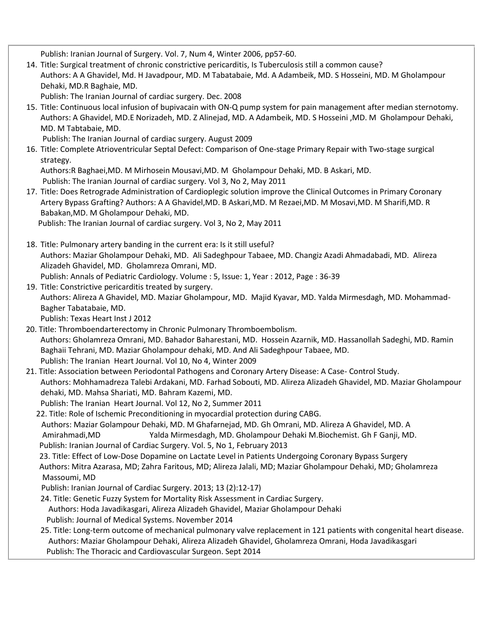Publish: Iranian Journal of Surgery. Vol. 7, Num 4, Winter 2006, pp57-60.

14. Title: Surgical treatment of chronic constrictive pericarditis, Is Tuberculosis still a common cause? Authors: A A Ghavidel, Md. H Javadpour, MD. M Tabatabaie, Md. A Adambeik, MD. S Hosseini, MD. M Gholampour Dehaki, MD.R Baghaie, MD.

Publish: The Iranian Journal of cardiac surgery. Dec. 2008

15. Title: Continuous local infusion of bupivacain with ON-Q pump system for pain management after median sternotomy. Authors: A Ghavidel, MD.E Norizadeh, MD. Z Alinejad, MD. A Adambeik, MD. S Hosseini ,MD. M Gholampour Dehaki, MD. M Tabtabaie, MD.

Publish: The Iranian Journal of cardiac surgery. August 2009

16. Title: Complete Atrioventricular Septal Defect: Comparison of One-stage Primary Repair with Two-stage surgical strategy.

Authors:R Baghaei,MD. M Mirhosein Mousavi,MD. M Gholampour Dehaki, MD. B Askari, MD.

Publish: The Iranian Journal of cardiac surgery. Vol 3, No 2, May 2011

17. Title: Does Retrograde Administration of Cardioplegic solution improve the Clinical Outcomes in Primary Coronary Artery Bypass Grafting? Authors: A A Ghavidel,MD. B Askari,MD. M Rezaei,MD. M Mosavi,MD. M Sharifi,MD. R Babakan,MD. M Gholampour Dehaki, MD.

Publish: The Iranian Journal of cardiac surgery. Vol 3, No 2, May 2011

- 18. Title: Pulmonary artery banding in the current era: Is it still useful? Authors: Maziar Gholampour Dehaki, MD. Ali Sadeghpour Tabaee, MD. Changiz Azadi Ahmadabadi, MD. Alireza Alizadeh Ghavidel, MD. Gholamreza Omrani, MD. Publish: Annals of Pediatric Cardiology. Volume : 5, Issue: 1, Year : 2012, Page : 36-39
- 19. Title: Constrictive pericarditis treated by surgery. Authors: Alireza A Ghavidel, MD. Maziar Gholampour, MD. Majid Kyavar, MD. Yalda Mirmesdagh, MD. Mohammad-Bagher Tabatabaie, MD.

Publish: Texas Heart Inst J 2012

- 20. Title: Thromboendarterectomy in Chronic Pulmonary Thromboembolism. Authors: Gholamreza Omrani, MD. Bahador Baharestani, MD. Hossein Azarnik, MD. Hassanollah Sadeghi, MD. Ramin Baghaii Tehrani, MD. Maziar Gholampour dehaki, MD. And Ali Sadeghpour Tabaee, MD. Publish: The Iranian Heart Journal. Vol 10, No 4, Winter 2009
- 21. Title: Association between Periodontal Pathogens and Coronary Artery Disease: A Case- Control Study. Authors: Mohhamadreza Talebi Ardakani, MD. Farhad Sobouti, MD. Alireza Alizadeh Ghavidel, MD. Maziar Gholampour dehaki, MD. Mahsa Shariati, MD. Bahram Kazemi, MD.

Publish: The Iranian Heart Journal. Vol 12, No 2, Summer 2011

22. Title: Role of Ischemic Preconditioning in myocardial protection during CABG.

 Authors: Maziar Golampour Dehaki, MD. M Ghafarnejad, MD. Gh Omrani, MD. Alireza A Ghavidel, MD. A Amirahmadi,MD Yalda Mirmesdagh, MD. Gholampour Dehaki M.Biochemist. Gh F Ganji, MD. Publish: Iranian Journal of Cardiac Surgery. Vol. 5, No 1, February 2013

23. Title: Effect of Low-Dose Dopamine on Lactate Level in Patients Undergoing Coronary Bypass Surgery

 Authors: Mitra Azarasa, MD; Zahra Faritous, MD; Alireza Jalali, MD; Maziar Gholampour Dehaki, MD; Gholamreza Massoumi, MD

Publish: Iranian Journal of Cardiac Surgery. 2013; 13 (2):12-17)

24. Title: [Genetic Fuzzy System for Mortality Risk Assessment in Cardiac Surgery.](http://www.researchgate.net/publication/267326131_Genetic_Fuzzy_System_for_Mortality_Risk_Assessment_in_Cardiac_Surgery) 

Authors: [Hoda Javadikasgari,](http://www.researchgate.net/researcher/2010159649_Hoda_Javadikasgari) [Alireza Alizadeh Ghavidel,](http://www.researchgate.net/researcher/2003024810_Alireza_Alizadeh_Ghavidel) Maziar Gholampour Dehaki

Publish: Journal of Medical Systems. November 2014

 25. Title: [Long-term outcome of mechanical pulmonary valve replacement in 121](http://www.researchgate.net/publication/263170512_Long-term_outcome_of_mechanical_pulmonary_valve_replacement_in_121_patients_with_congenital_heart_disease) patients with congenital heart disease. Authors: Maziar Gholampour Dehaki, [Alireza Alizadeh Ghavidel,](http://www.researchgate.net/researcher/2003024810_Alireza_Alizadeh_Ghavidel) [Gholamreza Omrani,](http://www.researchgate.net/researcher/13179505_Gholamreza_Omrani) [Hoda Javadikasgari](http://www.researchgate.net/researcher/2010159649_Hoda_Javadikasgari) Publish: The Thoracic and Cardiovascular Surgeon. Sept 2014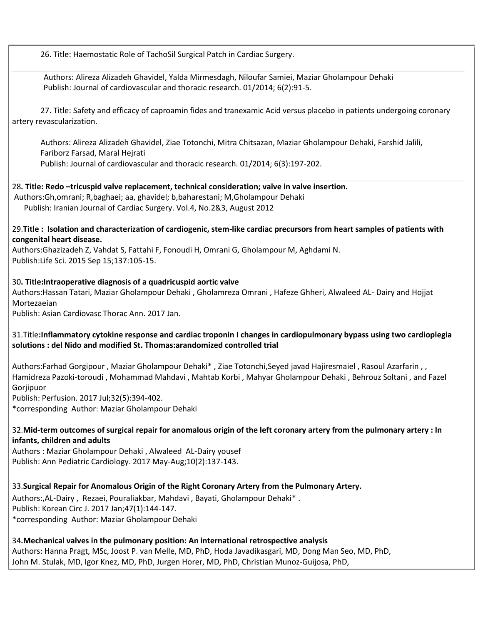26. Title: [Haemostatic Role of TachoSil Surgical Patch in Cardiac Surgery.](http://www.researchgate.net/publication/264009895_Haemostatic_Role_of_TachoSil_Surgical_Patch_in_Cardiac_Surgery) 

 Authors: [Alireza Alizadeh Ghavidel,](http://www.researchgate.net/researcher/2003024810_Alireza_Alizadeh_Ghavidel) [Yalda Mirmesdagh,](http://www.researchgate.net/researcher/2008419163_Yalda_Mirmesdagh) [Niloufar Samiei,](http://www.researchgate.net/researcher/39341402_Niloufar_Samiei) Maziar Gholampour Dehaki Publish: Journal of cardiovascular and thoracic research. 01/2014; 6(2):91-5.

 27. Title: [Safety and efficacy of caproamin fides and tranexamic Acid versus placebo in](http://www.researchgate.net/publication/266974619_Safety_and_efficacy_of_caproamin_fides_and_tranexamic_Acid_versus_placebo_in_patients_undergoing_coronary_artery_revascularization) patients undergoing coronary [artery revascularization.](http://www.researchgate.net/publication/266974619_Safety_and_efficacy_of_caproamin_fides_and_tranexamic_Acid_versus_placebo_in_patients_undergoing_coronary_artery_revascularization) 

 Authors: [Alireza Alizadeh Ghavidel,](http://www.researchgate.net/researcher/2003024810_Alireza_Alizadeh_Ghavidel) [Ziae Totonchi,](http://www.researchgate.net/researcher/2008646842_Ziae_Totonchi) [Mitra Chitsazan,](http://www.researchgate.net/researcher/59267902_Mitra_Chitsazan) Maziar Gholampour Dehaki, [Farshid Jalili,](http://www.researchgate.net/researcher/2056313490_Farshid_Jalili) [Fariborz Farsad,](http://www.researchgate.net/researcher/2056297056_Fariborz_Farsad) [Maral Hejrati](http://www.researchgate.net/researcher/2002971675_Maral_Hejrati) Publish: Journal of cardiovascular and thoracic research. 01/2014; 6(3):197-202.

28**. Title: Redo –tricuspid valve replacement, technical consideration; valve in valve insertion.** Authors:Gh,omrani; R,baghaei; aa, ghavidel; b,baharestani; M,Gholampour Dehaki Publish: Iranian Journal of Cardiac Surgery. Vol.4, No.2&3, August 2012

#### 29.**Title : [Isolation and characterization of cardiogenic, stem-like cardiac precursors from heart samples of patients with](http://www.ncbi.nlm.nih.gov/pubmed/26165749)  [congenital heart disease.](http://www.ncbi.nlm.nih.gov/pubmed/26165749)**

Authors:Ghazizadeh Z, Vahdat S, Fattahi F, Fonoudi H, Omrani G, Gholampour M, Aghdami N. Publish:Life Sci. 2015 Sep 15;137:105-15.

30**. Title:Intraoperative diagnosis of a quadricuspid aortic valve** Authors:Hassan Tatari, Maziar Gholampour Dehaki , Gholamreza Omrani , Hafeze Ghheri, Alwaleed AL- Dairy and Hojjat Mortezaeian

Publish: Asian Cardiovasc Thorac Ann. 2017 Jan.

and the contract of

### 31.Title**:Inflammatory cytokine response and cardiac troponin I changes in cardiopulmonary bypass using two cardioplegia solutions : del Nido and modified St. Thomas:arandomized controlled trial**

Authors:Farhad Gorgipour , Maziar Gholampour Dehaki\* , Ziae Totonchi,Seyed javad Hajiresmaiel , Rasoul Azarfarin , , Hamidreza Pazoki-toroudi , Mohammad Mahdavi , Mahtab Korbi , Mahyar Gholampour Dehaki , Behrouz Soltani , and Fazel Gorjipuor

Publish: Perfusion. 2017 Jul;32(5):394-402.

\*corresponding Author: Maziar Gholampour Dehaki

### 32.**Mid-term outcomes of surgical repair for anomalous origin of the left coronary artery from the pulmonary artery : In infants, children and adults**

Authors : Maziar Gholampour Dehaki , Alwaleed AL-Dairy yousef Publish: Ann Pediatric Cardiology. 2017 May-Aug;10(2):137-143.

33.**Surgical Repair for Anomalous Origin of the Right Coronary Artery from the Pulmonary Artery.**

Authors:,AL-Dairy , Rezaei, Pouraliakbar, Mahdavi , Bayati, Gholampour Dehaki\* . Publish: Korean Circ J. 2017 Jan;47(1):144-147. \*corresponding Author: Maziar Gholampour Dehaki

## 34**.Mechanical valves in the pulmonary position: An international retrospective analysis**

Authors: Hanna Pragt, MSc, Joost P. van Melle, MD, PhD, Hoda Javadikasgari, MD, Dong Man Seo, MD, PhD, John M. Stulak, MD, Igor Knez, MD, PhD, Jurgen Horer, MD, PhD, Christian Munoz-Guijosa, PhD,